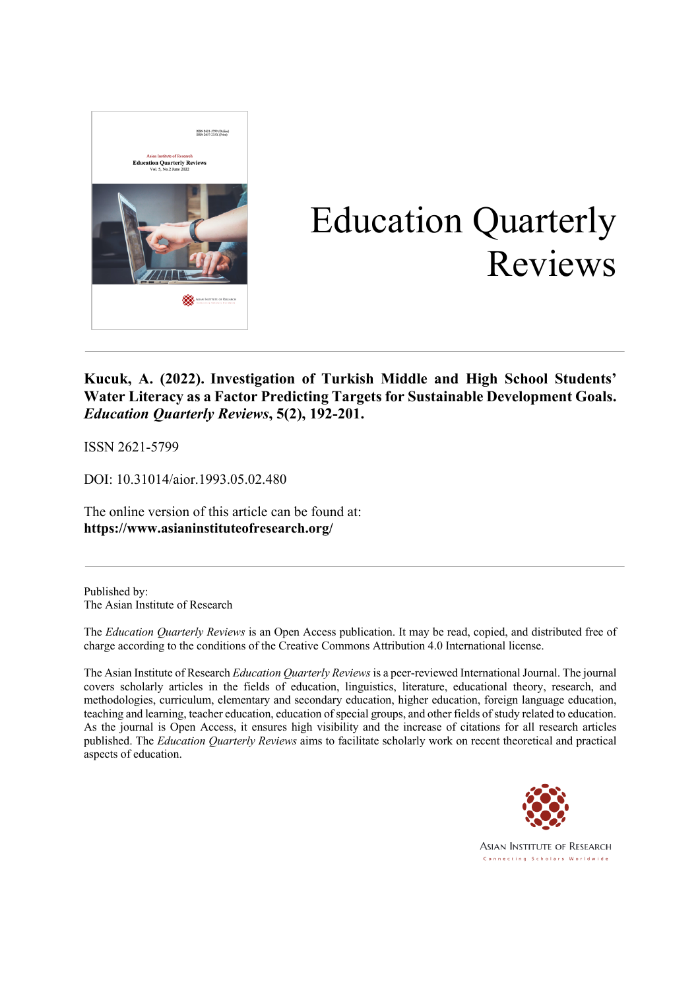

# Education Quarterly Reviews

### **Kucuk, A. (2022). Investigation of Turkish Middle and High School Students' Water Literacy as a Factor Predicting Targets for Sustainable Development Goals.** *Education Quarterly Reviews***, 5(2), 192-201.**

ISSN 2621-5799

DOI: 10.31014/aior.1993.05.02.480

The online version of this article can be found at: **https://www.asianinstituteofresearch.org/**

Published by: The Asian Institute of Research

The *Education Quarterly Reviews* is an Open Access publication. It may be read, copied, and distributed free of charge according to the conditions of the Creative Commons Attribution 4.0 International license.

The Asian Institute of Research *Education Quarterly Reviews* is a peer-reviewed International Journal. The journal covers scholarly articles in the fields of education, linguistics, literature, educational theory, research, and methodologies, curriculum, elementary and secondary education, higher education, foreign language education, teaching and learning, teacher education, education of special groups, and other fields of study related to education. As the journal is Open Access, it ensures high visibility and the increase of citations for all research articles published. The *Education Quarterly Reviews* aims to facilitate scholarly work on recent theoretical and practical aspects of education.



**ASIAN INSTITUTE OF RESEARCH** Connecting Scholars Worldwide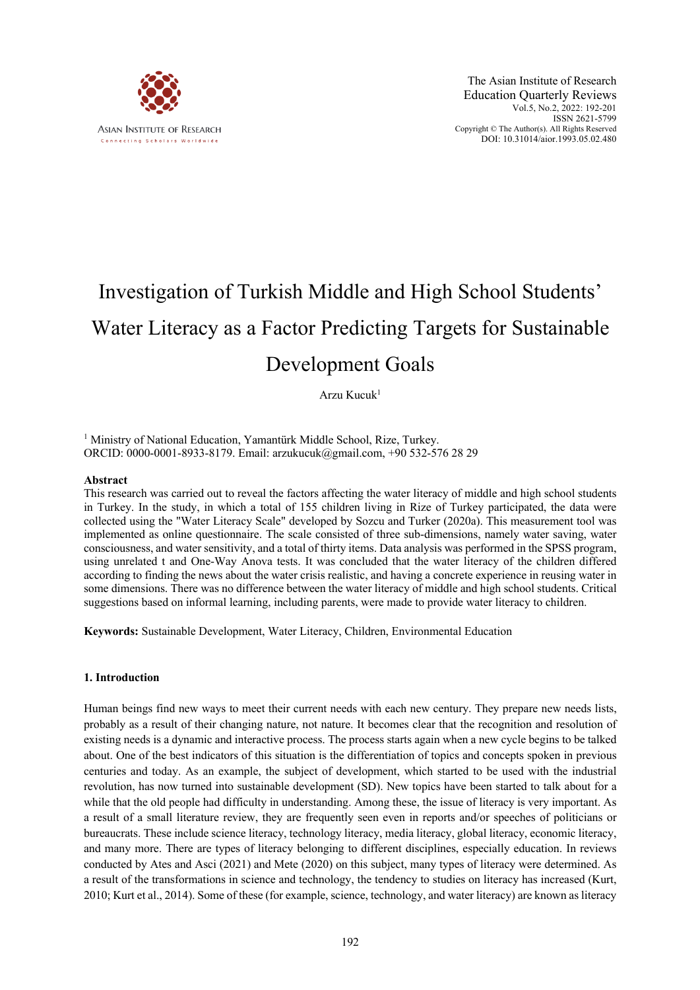

## Investigation of Turkish Middle and High School Students' Water Literacy as a Factor Predicting Targets for Sustainable Development Goals

Arzu Kucuk1

<sup>1</sup> Ministry of National Education, Yamantürk Middle School, Rize, Turkey. ORCID: 0000-0001-8933-8179. Email: arzukucuk@gmail.com, +90 532-576 28 29

#### **Abstract**

This research was carried out to reveal the factors affecting the water literacy of middle and high school students in Turkey. In the study, in which a total of 155 children living in Rize of Turkey participated, the data were collected using the "Water Literacy Scale" developed by Sozcu and Turker (2020a). This measurement tool was implemented as online questionnaire. The scale consisted of three sub-dimensions, namely water saving, water consciousness, and water sensitivity, and a total of thirty items. Data analysis was performed in the SPSS program, using unrelated t and One-Way Anova tests. It was concluded that the water literacy of the children differed according to finding the news about the water crisis realistic, and having a concrete experience in reusing water in some dimensions. There was no difference between the water literacy of middle and high school students. Critical suggestions based on informal learning, including parents, were made to provide water literacy to children.

**Keywords:** Sustainable Development, Water Literacy, Children, Environmental Education

#### **1. Introduction**

Human beings find new ways to meet their current needs with each new century. They prepare new needs lists, probably as a result of their changing nature, not nature. It becomes clear that the recognition and resolution of existing needs is a dynamic and interactive process. The process starts again when a new cycle begins to be talked about. One of the best indicators of this situation is the differentiation of topics and concepts spoken in previous centuries and today. As an example, the subject of development, which started to be used with the industrial revolution, has now turned into sustainable development (SD). New topics have been started to talk about for a while that the old people had difficulty in understanding. Among these, the issue of literacy is very important. As a result of a small literature review, they are frequently seen even in reports and/or speeches of politicians or bureaucrats. These include science literacy, technology literacy, media literacy, global literacy, economic literacy, and many more. There are types of literacy belonging to different disciplines, especially education. In reviews conducted by Ates and Asci (2021) and Mete (2020) on this subject, many types of literacy were determined. As a result of the transformations in science and technology, the tendency to studies on literacy has increased (Kurt, 2010; Kurt et al., 2014). Some of these (for example, science, technology, and water literacy) are known as literacy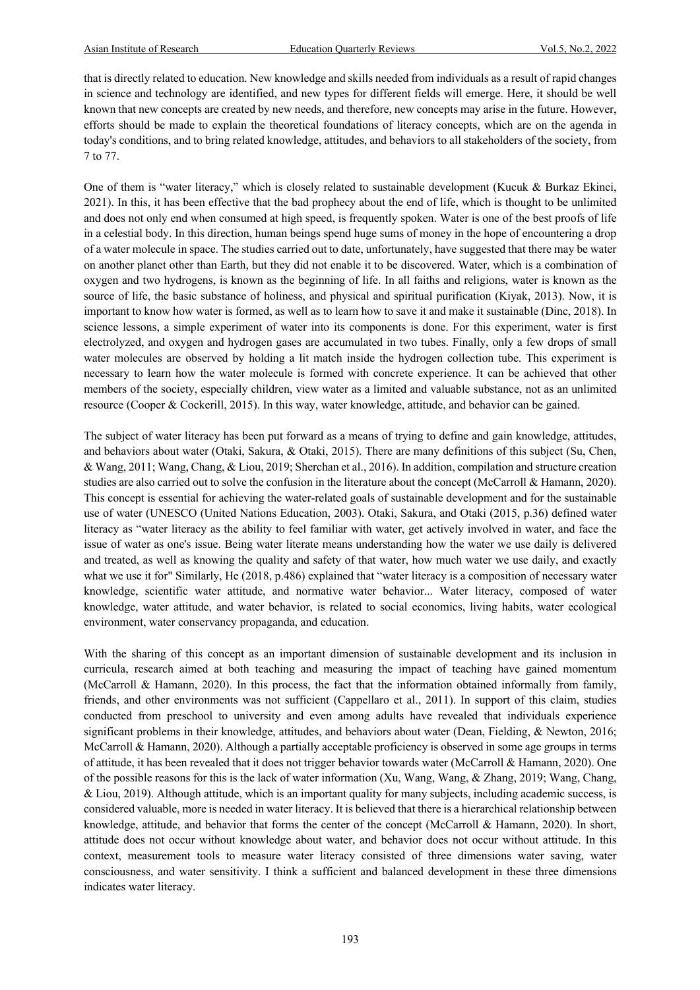that is directly related to education. New knowledge and skills needed from individuals as a result of rapid changes in science and technology are identified, and new types for different fields will emerge. Here, it should be well known that new concepts are created by new needs, and therefore, new concepts may arise in the future. However, efforts should be made to explain the theoretical foundations of literacy concepts, which are on the agenda in today's conditions, and to bring related knowledge, attitudes, and behaviors to all stakeholders of the society, from 7 to 77.

One of them is "water literacy," which is closely related to sustainable development (Kucuk & Burkaz Ekinci, 2021). In this, it has been effective that the bad prophecy about the end of life, which is thought to be unlimited and does not only end when consumed at high speed, is frequently spoken. Water is one of the best proofs of life in a celestial body. In this direction, human beings spend huge sums of money in the hope of encountering a drop of a water molecule in space. The studies carried out to date, unfortunately, have suggested that there may be water on another planet other than Earth, but they did not enable it to be discovered. Water, which is a combination of oxygen and two hydrogens, is known as the beginning of life. In all faiths and religions, water is known as the source of life, the basic substance of holiness, and physical and spiritual purification (Kiyak, 2013). Now, it is important to know how water is formed, as well as to learn how to save it and make it sustainable (Dinc, 2018). In science lessons, a simple experiment of water into its components is done. For this experiment, water is first electrolyzed, and oxygen and hydrogen gases are accumulated in two tubes. Finally, only a few drops of small water molecules are observed by holding a lit match inside the hydrogen collection tube. This experiment is necessary to learn how the water molecule is formed with concrete experience. It can be achieved that other members of the society, especially children, view water as a limited and valuable substance, not as an unlimited resource (Cooper & Cockerill, 2015). In this way, water knowledge, attitude, and behavior can be gained.

The subject of water literacy has been put forward as a means of trying to define and gain knowledge, attitudes, and behaviors about water (Otaki, Sakura, & Otaki, 2015). There are many definitions of this subject (Su, Chen, & Wang, 2011; Wang, Chang, & Liou, 2019; Sherchan et al., 2016). In addition, compilation and structure creation studies are also carried out to solve the confusion in the literature about the concept (McCarroll & Hamann, 2020). This concept is essential for achieving the water-related goals of sustainable development and for the sustainable use of water (UNESCO (United Nations Education, 2003). Otaki, Sakura, and Otaki (2015, p.36) defined water literacy as "water literacy as the ability to feel familiar with water, get actively involved in water, and face the issue of water as one's issue. Being water literate means understanding how the water we use daily is delivered and treated, as well as knowing the quality and safety of that water, how much water we use daily, and exactly what we use it for" Similarly, He (2018, p.486) explained that "water literacy is a composition of necessary water knowledge, scientific water attitude, and normative water behavior... Water literacy, composed of water knowledge, water attitude, and water behavior, is related to social economics, living habits, water ecological environment, water conservancy propaganda, and education.

With the sharing of this concept as an important dimension of sustainable development and its inclusion in curricula, research aimed at both teaching and measuring the impact of teaching have gained momentum (McCarroll & Hamann, 2020). In this process, the fact that the information obtained informally from family, friends, and other environments was not sufficient (Cappellaro et al., 2011). In support of this claim, studies conducted from preschool to university and even among adults have revealed that individuals experience significant problems in their knowledge, attitudes, and behaviors about water (Dean, Fielding, & Newton, 2016; McCarroll & Hamann, 2020). Although a partially acceptable proficiency is observed in some age groups in terms of attitude, it has been revealed that it does not trigger behavior towards water (McCarroll & Hamann, 2020). One of the possible reasons for this is the lack of water information (Xu, Wang, Wang, & Zhang, 2019; Wang, Chang, & Liou, 2019). Although attitude, which is an important quality for many subjects, including academic success, is considered valuable, more is needed in water literacy. It is believed that there is a hierarchical relationship between knowledge, attitude, and behavior that forms the center of the concept (McCarroll & Hamann, 2020). In short, attitude does not occur without knowledge about water, and behavior does not occur without attitude. In this context, measurement tools to measure water literacy consisted of three dimensions water saving, water consciousness, and water sensitivity. I think a sufficient and balanced development in these three dimensions indicates water literacy.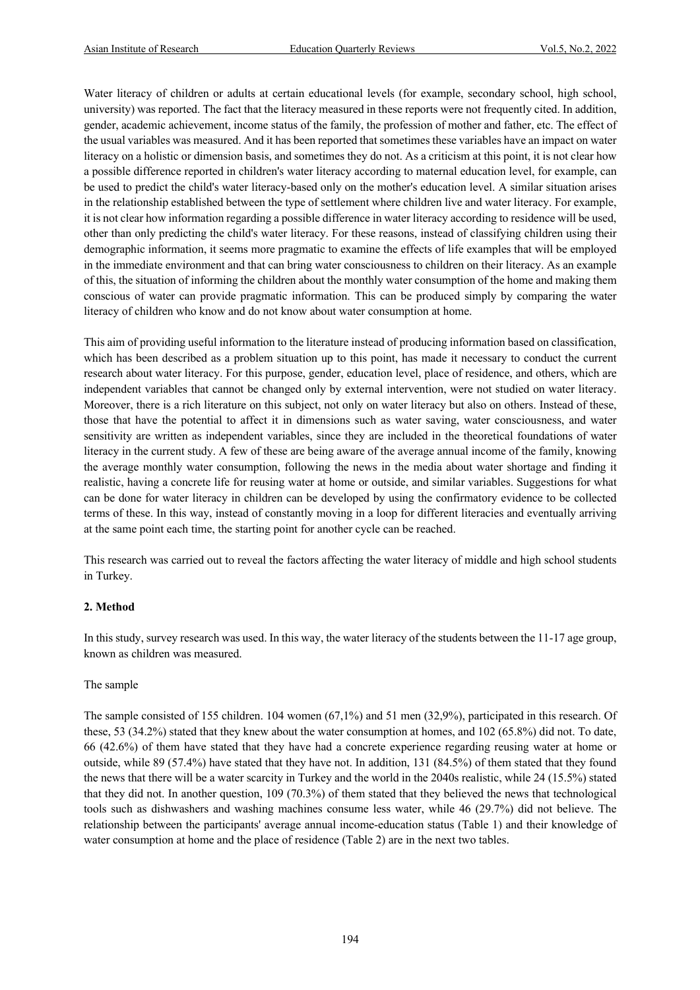Water literacy of children or adults at certain educational levels (for example, secondary school, high school, university) was reported. The fact that the literacy measured in these reports were not frequently cited. In addition, gender, academic achievement, income status of the family, the profession of mother and father, etc. The effect of the usual variables was measured. And it has been reported that sometimes these variables have an impact on water literacy on a holistic or dimension basis, and sometimes they do not. As a criticism at this point, it is not clear how a possible difference reported in children's water literacy according to maternal education level, for example, can be used to predict the child's water literacy-based only on the mother's education level. A similar situation arises in the relationship established between the type of settlement where children live and water literacy. For example, it is not clear how information regarding a possible difference in water literacy according to residence will be used, other than only predicting the child's water literacy. For these reasons, instead of classifying children using their demographic information, it seems more pragmatic to examine the effects of life examples that will be employed in the immediate environment and that can bring water consciousness to children on their literacy. As an example of this, the situation of informing the children about the monthly water consumption of the home and making them conscious of water can provide pragmatic information. This can be produced simply by comparing the water literacy of children who know and do not know about water consumption at home.

This aim of providing useful information to the literature instead of producing information based on classification, which has been described as a problem situation up to this point, has made it necessary to conduct the current research about water literacy. For this purpose, gender, education level, place of residence, and others, which are independent variables that cannot be changed only by external intervention, were not studied on water literacy. Moreover, there is a rich literature on this subject, not only on water literacy but also on others. Instead of these, those that have the potential to affect it in dimensions such as water saving, water consciousness, and water sensitivity are written as independent variables, since they are included in the theoretical foundations of water literacy in the current study. A few of these are being aware of the average annual income of the family, knowing the average monthly water consumption, following the news in the media about water shortage and finding it realistic, having a concrete life for reusing water at home or outside, and similar variables. Suggestions for what can be done for water literacy in children can be developed by using the confirmatory evidence to be collected terms of these. In this way, instead of constantly moving in a loop for different literacies and eventually arriving at the same point each time, the starting point for another cycle can be reached.

This research was carried out to reveal the factors affecting the water literacy of middle and high school students in Turkey.

#### **2. Method**

In this study, survey research was used. In this way, the water literacy of the students between the 11-17 age group, known as children was measured.

#### The sample

The sample consisted of 155 children. 104 women (67,1%) and 51 men (32,9%), participated in this research. Of these, 53 (34.2%) stated that they knew about the water consumption at homes, and 102 (65.8%) did not. To date, 66 (42.6%) of them have stated that they have had a concrete experience regarding reusing water at home or outside, while 89 (57.4%) have stated that they have not. In addition, 131 (84.5%) of them stated that they found the news that there will be a water scarcity in Turkey and the world in the 2040s realistic, while 24 (15.5%) stated that they did not. In another question, 109 (70.3%) of them stated that they believed the news that technological tools such as dishwashers and washing machines consume less water, while 46 (29.7%) did not believe. The relationship between the participants' average annual income-education status (Table 1) and their knowledge of water consumption at home and the place of residence (Table 2) are in the next two tables.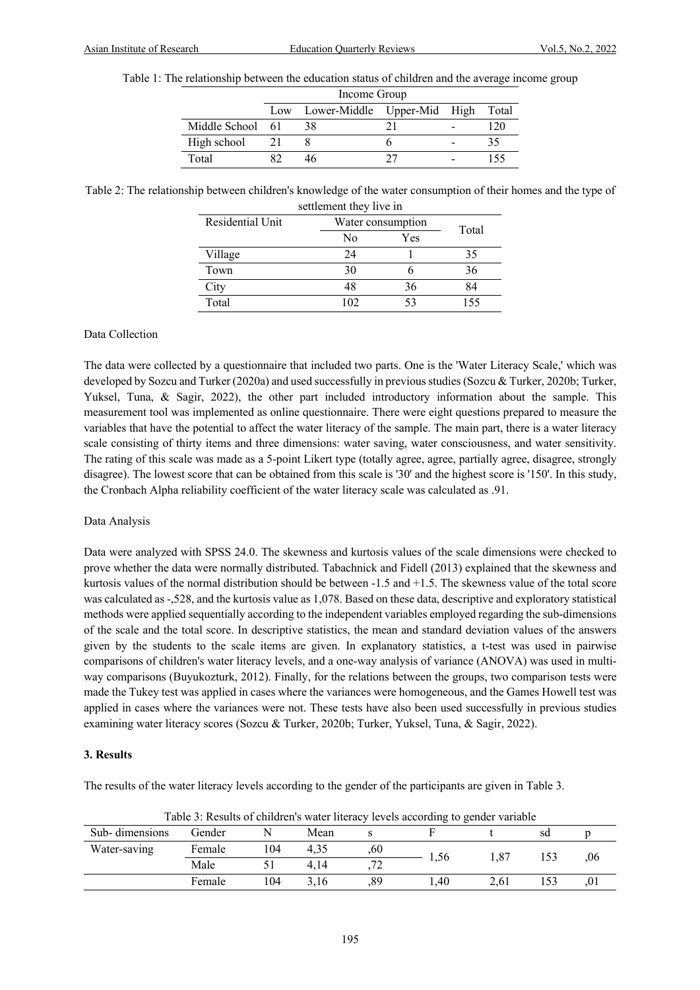| Table 1: The relationship between the education status of children and the average income group |  |
|-------------------------------------------------------------------------------------------------|--|
|-------------------------------------------------------------------------------------------------|--|

 $I_{\cdots}$   $\alpha$ 

|                  | Income Group                          |  |  |     |  |  |  |  |  |  |
|------------------|---------------------------------------|--|--|-----|--|--|--|--|--|--|
|                  | Low Lower-Middle Upper-Mid High Total |  |  |     |  |  |  |  |  |  |
| Middle School 61 | 38                                    |  |  | 120 |  |  |  |  |  |  |
| High school      |                                       |  |  |     |  |  |  |  |  |  |
| Total            |                                       |  |  | 155 |  |  |  |  |  |  |

Table 2: The relationship between children's knowledge of the water consumption of their homes and the type of settlement they live in

| scuichicht they nvc in |     |                   |       |  |  |  |  |  |
|------------------------|-----|-------------------|-------|--|--|--|--|--|
| Residential Unit       |     | Water consumption | Total |  |  |  |  |  |
|                        | No  |                   |       |  |  |  |  |  |
| Village                | 24  |                   | 35    |  |  |  |  |  |
| Town                   | 30  |                   | 36    |  |  |  |  |  |
| City                   | 48  | 36                | 84    |  |  |  |  |  |
| Total                  | 102 | 53                | 155   |  |  |  |  |  |

#### Data Collection

The data were collected by a questionnaire that included two parts. One is the 'Water Literacy Scale,' which was developed by Sozcu and Turker (2020a) and used successfully in previous studies (Sozcu & Turker, 2020b; Turker, Yuksel, Tuna, & Sagir, 2022), the other part included introductory information about the sample. This measurement tool was implemented as online questionnaire. There were eight questions prepared to measure the variables that have the potential to affect the water literacy of the sample. The main part, there is a water literacy scale consisting of thirty items and three dimensions: water saving, water consciousness, and water sensitivity. The rating of this scale was made as a 5-point Likert type (totally agree, agree, partially agree, disagree, strongly disagree). The lowest score that can be obtained from this scale is '30' and the highest score is '150'. In this study, the Cronbach Alpha reliability coefficient of the water literacy scale was calculated as .91.

#### Data Analysis

Data were analyzed with SPSS 24.0. The skewness and kurtosis values of the scale dimensions were checked to prove whether the data were normally distributed. Tabachnick and Fidell (2013) explained that the skewness and kurtosis values of the normal distribution should be between -1.5 and +1.5. The skewness value of the total score was calculated as -,528, and the kurtosis value as 1,078. Based on these data, descriptive and exploratory statistical methods were applied sequentially according to the independent variables employed regarding the sub-dimensions of the scale and the total score. In descriptive statistics, the mean and standard deviation values of the answers given by the students to the scale items are given. In explanatory statistics, a t-test was used in pairwise comparisons of children's water literacy levels, and a one-way analysis of variance (ANOVA) was used in multiway comparisons (Buyukozturk, 2012). Finally, for the relations between the groups, two comparison tests were made the Tukey test was applied in cases where the variances were homogeneous, and the Games Howell test was applied in cases where the variances were not. These tests have also been used successfully in previous studies examining water literacy scores (Sozcu & Turker, 2020b; Turker, Yuksel, Tuna, & Sagir, 2022).

#### **3. Results**

The results of the water literacy levels according to the gender of the participants are given in Table 3.

| Table 5: Results of children's water interacy levels according to gender variable |        |     |      |                          |      |      |    |     |  |  |
|-----------------------------------------------------------------------------------|--------|-----|------|--------------------------|------|------|----|-----|--|--|
| Sub-dimensions                                                                    | Gender |     | Mean |                          |      |      | sd |     |  |  |
| Water-saving                                                                      | Female | 104 | 4.35 | ,60                      | 1.56 |      |    | .06 |  |  |
|                                                                                   | Male   |     | 4.14 | $\overline{\phantom{a}}$ |      |      |    |     |  |  |
|                                                                                   | Female | 104 | 3.16 | .89                      | .40  | 2.61 |    |     |  |  |

Table 3: Results of children's water literacy levels according to gender variable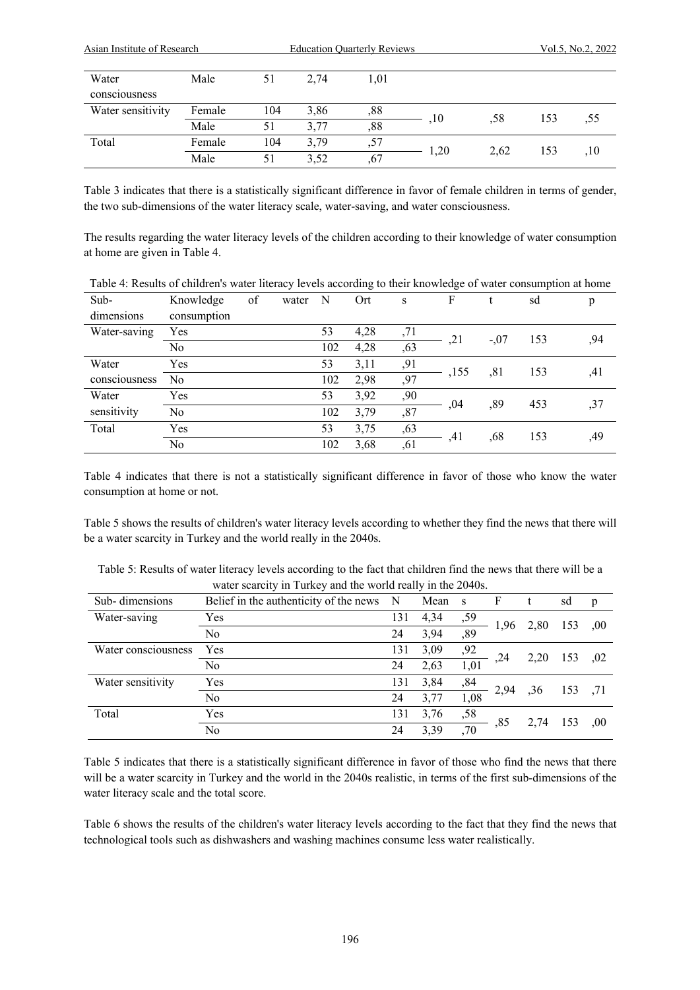| Asian Institute of Research |        |     | <b>Education Quarterly Reviews</b> |      | Vol.5, No.2, 2022 |      |     |     |
|-----------------------------|--------|-----|------------------------------------|------|-------------------|------|-----|-----|
| Water<br>consciousness      | Male   | 51  | 2.74                               | 1,01 |                   |      |     |     |
| Water sensitivity           | Female | 104 | 3,86                               | ,88  |                   | .58  | 153 |     |
|                             | Male   | 51  | 3.77                               | ,88  | ,10               |      |     | ,55 |
| Total                       | Female | 104 | 3.79                               | ,57  |                   | 2.62 | 153 |     |
|                             | Male   | 51  | 3,52                               | ,67  | 1,20              |      |     | ,10 |

Table 3 indicates that there is a statistically significant difference in favor of female children in terms of gender, the two sub-dimensions of the water literacy scale, water-saving, and water consciousness.

The results regarding the water literacy levels of the children according to their knowledge of water consumption at home are given in Table 4.

| Table 4: Results of children's water literacy levels according to their knowledge of water consumption at home |                |    |       |     |      |     |      |        |     |     |
|----------------------------------------------------------------------------------------------------------------|----------------|----|-------|-----|------|-----|------|--------|-----|-----|
| Sub-                                                                                                           | Knowledge      | of | water | N   | Ort  | S   | F    |        | sd  | p   |
| dimensions                                                                                                     | consumption    |    |       |     |      |     |      |        |     |     |
| Water-saving                                                                                                   | Yes            |    |       | 53  | 4,28 | ,71 |      | $-.07$ | 153 |     |
|                                                                                                                | No             |    |       | 102 | 4,28 | ,63 | ,21  |        |     | ,94 |
| Water                                                                                                          | Yes            |    |       | 53  | 3,11 | ,91 |      |        | 153 |     |
| consciousness                                                                                                  | No.            |    |       | 102 | 2,98 | ,97 | ,155 | .81    |     | ,41 |
| Water                                                                                                          | Yes            |    |       | 53  | 3,92 | ,90 |      |        | 453 |     |
| sensitivity                                                                                                    | N <sub>o</sub> |    |       | 102 | 3,79 | ,87 | .04  | ,89    |     | ,37 |
| Total                                                                                                          | Yes            |    |       | 53  | 3,75 | ,63 |      | .68    | 153 |     |
|                                                                                                                | No             |    |       | 102 | 3,68 | ,61 | ,41  |        |     | ,49 |

Table 4 indicates that there is not a statistically significant difference in favor of those who know the water consumption at home or not.

Table 5 shows the results of children's water literacy levels according to whether they find the news that there will be a water scarcity in Turkey and the world really in the 2040s.

| Table 5: Results of water literacy levels according to the fact that children find the news that there will be a |
|------------------------------------------------------------------------------------------------------------------|
| water scarcity in Turkey and the world really in the 2040s.                                                      |

| Sub-dimensions      | Belief in the authenticity of the news | N   | Mean | <sub>S</sub> | F    |      | sd  | p    |
|---------------------|----------------------------------------|-----|------|--------------|------|------|-----|------|
| Water-saving        | Yes                                    | 131 | 4,34 | ,59          |      | 2,80 | 153 | .00. |
|                     | No                                     | 24  | 3,94 | ,89          | 1,96 |      |     |      |
| Water consciousness | Yes                                    | 131 | 3,09 | ,92          | .24  | 2,20 | 153 | .02  |
|                     | No                                     | 24  | 2,63 | 1,01         |      |      |     |      |
| Water sensitivity   | Yes                                    | 131 | 3,84 | ,84          |      |      |     |      |
|                     | No                                     | 24  | 3,77 | 1,08         | 2,94 | ,36  | 153 | .71  |
| Total               | Yes                                    | 131 | 3,76 | ,58          |      | 2,74 | 153 |      |
|                     | N <sub>o</sub>                         | 24  | 3,39 | ,70          | ,85  |      |     | .00  |

Table 5 indicates that there is a statistically significant difference in favor of those who find the news that there will be a water scarcity in Turkey and the world in the 2040s realistic, in terms of the first sub-dimensions of the water literacy scale and the total score.

Table 6 shows the results of the children's water literacy levels according to the fact that they find the news that technological tools such as dishwashers and washing machines consume less water realistically.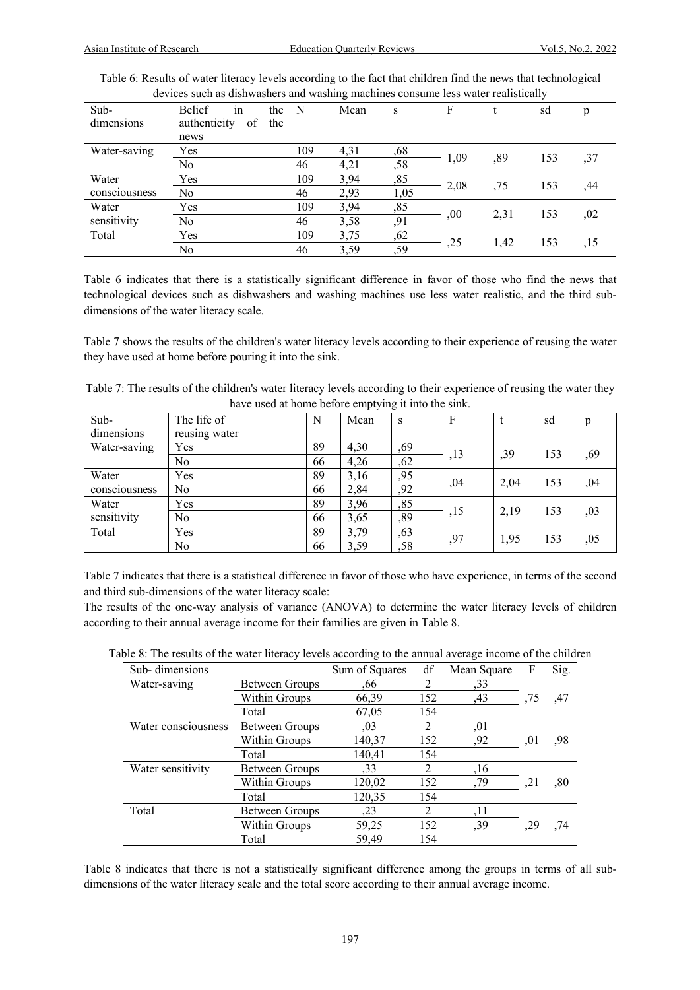| devices such as distinguillers and washing machines consume less water realistically |                     |     |             |      |      |      |      |     |     |  |
|--------------------------------------------------------------------------------------|---------------------|-----|-------------|------|------|------|------|-----|-----|--|
| Sub-                                                                                 | <b>Belief</b><br>1n | the | $\mathbf N$ | Mean | S    | F    |      | sd  | p   |  |
| dimensions                                                                           | authenticity<br>of  | the |             |      |      |      |      |     |     |  |
|                                                                                      | news                |     |             |      |      |      |      |     |     |  |
| Water-saving                                                                         | Yes                 |     | 109         | 4,31 | ,68  |      |      |     |     |  |
|                                                                                      | No                  |     | 46          | 4,21 | ,58  | 1,09 | ,89  | 153 | ,37 |  |
| Water                                                                                | Yes                 |     | 109         | 3,94 | ,85  |      |      |     |     |  |
| consciousness                                                                        | No                  |     | 46          | 2,93 | 1,05 | 2,08 | .75  | 153 | .44 |  |
| Water                                                                                | Yes                 |     | 109         | 3,94 | ,85  |      |      |     |     |  |
| sensitivity                                                                          | No                  |     | 46          | 3,58 | ,91  | ,00  | 2,31 | 153 | .02 |  |
| Total                                                                                | Yes                 |     | 109         | 3,75 | ,62  |      |      |     |     |  |
|                                                                                      | No                  |     | 46          | 3,59 | ,59  | ,25  | 1,42 | 153 | ,15 |  |

Table 6: Results of water literacy levels according to the fact that children find the news that technological devices such as dishwashers and washing machines consume less water realistically

Table 6 indicates that there is a statistically significant difference in favor of those who find the news that technological devices such as dishwashers and washing machines use less water realistic, and the third subdimensions of the water literacy scale.

Table 7 shows the results of the children's water literacy levels according to their experience of reusing the water they have used at home before pouring it into the sink.

| Table 7: The results of the children's water literacy levels according to their experience of reusing the water they |
|----------------------------------------------------------------------------------------------------------------------|
| have used at home before emptying it into the sink.                                                                  |

| Sub-          | The life of   | N  | Mean | S   | F   |      | sd  | p   |
|---------------|---------------|----|------|-----|-----|------|-----|-----|
| dimensions    | reusing water |    |      |     |     |      |     |     |
| Water-saving  | Yes           | 89 | 4,30 | ,69 |     | ,39  | 153 | ,69 |
|               | No            | 66 | 4,26 | ,62 | ,13 |      |     |     |
| Water         | Yes           | 89 | 3,16 | ,95 | ,04 | 2,04 | 153 | ,04 |
| consciousness | No            | 66 | 2,84 | ,92 |     |      |     |     |
| Water         | Yes           | 89 | 3,96 | ,85 |     | 2,19 |     |     |
| sensitivity   | No            | 66 | 3,65 | ,89 | ,15 |      | 153 | ,03 |
| Total         | Yes           | 89 | 3,79 | ,63 | ,97 | 1,95 | 153 | ,05 |
|               | No            | 66 | 3,59 | ,58 |     |      |     |     |

Table 7 indicates that there is a statistical difference in favor of those who have experience, in terms of the second and third sub-dimensions of the water literacy scale:

The results of the one-way analysis of variance (ANOVA) to determine the water literacy levels of children according to their annual average income for their families are given in Table 8.

|  | Table 8: The results of the water literacy levels according to the annual average income of the children |  |  |  |  |  |
|--|----------------------------------------------------------------------------------------------------------|--|--|--|--|--|
|  |                                                                                                          |  |  |  |  |  |

| Sub-dimensions      |                | Sum of Squares | df  | Mean Square | F   | Sig. |
|---------------------|----------------|----------------|-----|-------------|-----|------|
| Water-saving        | Between Groups | .66            | 2   | ,33         |     |      |
|                     | Within Groups  | 66,39          | 152 | ,43         | ,75 | ,47  |
|                     | Total          | 67,05          | 154 |             |     |      |
| Water consciousness | Between Groups | ,03            | 2   | .01         |     |      |
|                     | Within Groups  | 140,37         | 152 | ,92         | .01 | ,98  |
|                     | Total          | 140,41         | 154 |             |     |      |
| Water sensitivity   | Between Groups | , 33           | 2   | ,16         |     |      |
|                     | Within Groups  | 120,02         | 152 | ,79         | ,21 | ,80  |
|                     | Total          | 120,35         | 154 |             |     |      |
| Total               | Between Groups | , 23           | 2   | ,11         |     |      |
|                     | Within Groups  | 59,25          | 152 | ,39         |     | .74  |
|                     | Total          | 59,49          | 154 |             |     |      |

Table 8 indicates that there is not a statistically significant difference among the groups in terms of all subdimensions of the water literacy scale and the total score according to their annual average income.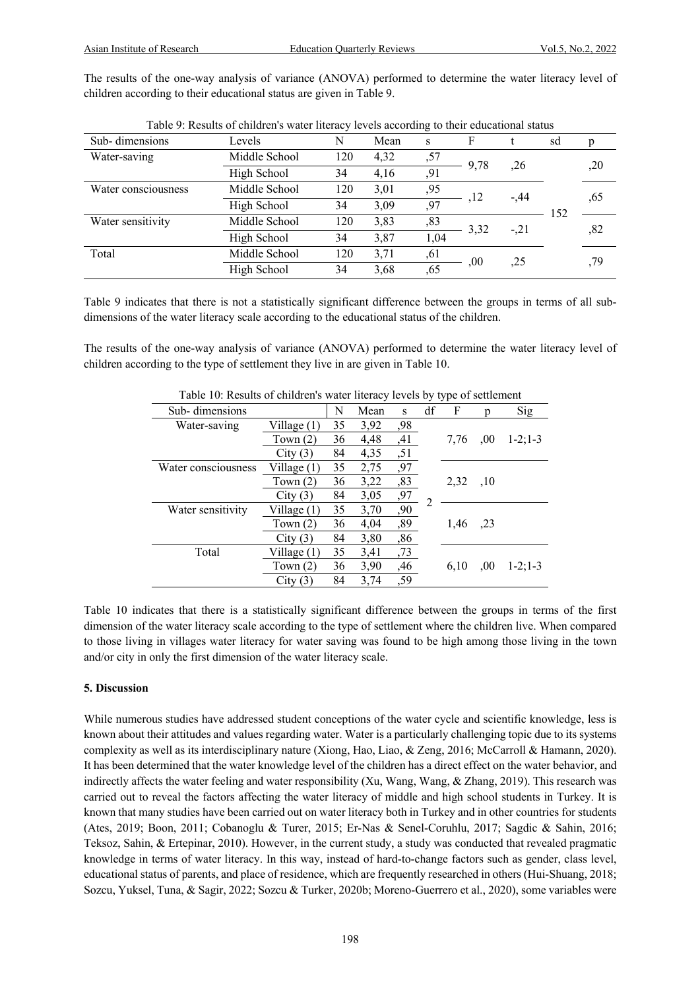The results of the one-way analysis of variance (ANOVA) performed to determine the water literacy level of children according to their educational status are given in Table 9.

|                     |               |     |      | $\circ$ |      |        |     |     |
|---------------------|---------------|-----|------|---------|------|--------|-----|-----|
| Sub-dimensions      | Levels        | N   | Mean | S       | F    |        | sd  |     |
| Water-saving        | Middle School | 120 | 4,32 | ,57     | 9,78 | ,26    |     | ,20 |
|                     | High School   | 34  | 4,16 | ,91     |      |        |     |     |
| Water consciousness | Middle School | 120 | 3,01 | ,95     | .12  | $-.44$ |     |     |
|                     | High School   | 34  | 3,09 | .97     |      |        | 152 | ,65 |
| Water sensitivity   | Middle School | 120 | 3,83 | ,83     | 3,32 | $-.21$ |     | .82 |
|                     | High School   | 34  | 3,87 | 1,04    |      |        |     |     |
| Total               | Middle School | 120 | 3,71 | ,61     | .00  | .25    |     |     |
|                     | High School   | 34  | 3,68 | .65     |      |        |     | ,79 |
|                     |               |     |      |         |      |        |     |     |

Table 9: Results of children's water literacy levels according to their educational status

Table 9 indicates that there is not a statistically significant difference between the groups in terms of all subdimensions of the water literacy scale according to the educational status of the children.

The results of the one-way analysis of variance (ANOVA) performed to determine the water literacy level of children according to the type of settlement they live in are given in Table 10.

|                     |               |    |      |     |    | ┙┸   |      |                 |
|---------------------|---------------|----|------|-----|----|------|------|-----------------|
| Sub-dimensions      |               | N  | Mean | S   | df | F    | n    | Sig             |
| Water-saving        | Village (1)   | 35 | 3,92 | ,98 |    |      |      |                 |
|                     | Town $(2)$    | 36 | 4,48 | ,41 |    | 7.76 | .00  | $1 - 2$ ; 1 - 3 |
|                     | City(3)       | 84 | 4,35 | ,51 |    |      |      |                 |
| Water consciousness | Village (1)   | 35 | 2,75 | ,97 |    |      |      |                 |
|                     | Town $(2)$    | 36 | 3,22 | ,83 |    | 2,32 | ,10  |                 |
|                     | City(3)       | 84 | 3,05 | ,97 | 2  |      |      |                 |
| Water sensitivity   | Village $(1)$ | 35 | 3,70 | ,90 |    |      |      |                 |
|                     | Town $(2)$    | 36 | 4,04 | ,89 |    | 1,46 | , 23 |                 |
|                     | City(3)       | 84 | 3,80 | ,86 |    |      |      |                 |
| Total               | Village (1)   | 35 | 3,41 | ,73 |    |      |      |                 |
|                     | Town $(2)$    | 36 | 3,90 | ,46 |    | 6.10 | .00  | $1 - 2$ ; 1 - 3 |
|                     | City(3)       | 84 | 3.74 | ,59 |    |      |      |                 |

Table 10: Results of children's water literacy levels by type of settlement

Table 10 indicates that there is a statistically significant difference between the groups in terms of the first dimension of the water literacy scale according to the type of settlement where the children live. When compared to those living in villages water literacy for water saving was found to be high among those living in the town and/or city in only the first dimension of the water literacy scale.

#### **5. Discussion**

While numerous studies have addressed student conceptions of the water cycle and scientific knowledge, less is known about their attitudes and values regarding water. Water is a particularly challenging topic due to its systems complexity as well as its interdisciplinary nature (Xiong, Hao, Liao, & Zeng, 2016; McCarroll & Hamann, 2020). It has been determined that the water knowledge level of the children has a direct effect on the water behavior, and indirectly affects the water feeling and water responsibility (Xu, Wang, Wang, & Zhang, 2019). This research was carried out to reveal the factors affecting the water literacy of middle and high school students in Turkey. It is known that many studies have been carried out on water literacy both in Turkey and in other countries for students (Ates, 2019; Boon, 2011; Cobanoglu & Turer, 2015; Er-Nas & Senel-Coruhlu, 2017; Sagdic & Sahin, 2016; Teksoz, Sahin, & Ertepinar, 2010). However, in the current study, a study was conducted that revealed pragmatic knowledge in terms of water literacy. In this way, instead of hard-to-change factors such as gender, class level, educational status of parents, and place of residence, which are frequently researched in others (Hui-Shuang, 2018; Sozcu, Yuksel, Tuna, & Sagir, 2022; Sozcu & Turker, 2020b; Moreno-Guerrero et al., 2020), some variables were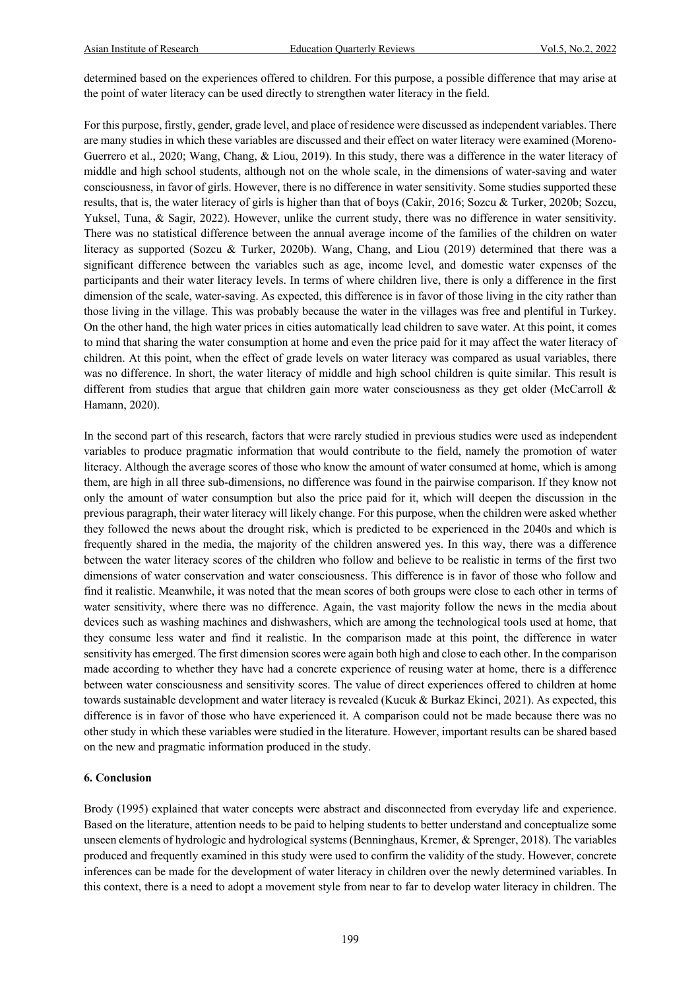determined based on the experiences offered to children. For this purpose, a possible difference that may arise at the point of water literacy can be used directly to strengthen water literacy in the field.

For this purpose, firstly, gender, grade level, and place of residence were discussed as independent variables. There are many studies in which these variables are discussed and their effect on water literacy were examined (Moreno-Guerrero et al., 2020; Wang, Chang, & Liou, 2019). In this study, there was a difference in the water literacy of middle and high school students, although not on the whole scale, in the dimensions of water-saving and water consciousness, in favor of girls. However, there is no difference in water sensitivity. Some studies supported these results, that is, the water literacy of girls is higher than that of boys (Cakir, 2016; Sozcu & Turker, 2020b; Sozcu, Yuksel, Tuna, & Sagir, 2022). However, unlike the current study, there was no difference in water sensitivity. There was no statistical difference between the annual average income of the families of the children on water literacy as supported (Sozcu & Turker, 2020b). Wang, Chang, and Liou (2019) determined that there was a significant difference between the variables such as age, income level, and domestic water expenses of the participants and their water literacy levels. In terms of where children live, there is only a difference in the first dimension of the scale, water-saving. As expected, this difference is in favor of those living in the city rather than those living in the village. This was probably because the water in the villages was free and plentiful in Turkey. On the other hand, the high water prices in cities automatically lead children to save water. At this point, it comes to mind that sharing the water consumption at home and even the price paid for it may affect the water literacy of children. At this point, when the effect of grade levels on water literacy was compared as usual variables, there was no difference. In short, the water literacy of middle and high school children is quite similar. This result is different from studies that argue that children gain more water consciousness as they get older (McCarroll & Hamann, 2020).

In the second part of this research, factors that were rarely studied in previous studies were used as independent variables to produce pragmatic information that would contribute to the field, namely the promotion of water literacy. Although the average scores of those who know the amount of water consumed at home, which is among them, are high in all three sub-dimensions, no difference was found in the pairwise comparison. If they know not only the amount of water consumption but also the price paid for it, which will deepen the discussion in the previous paragraph, their water literacy will likely change. For this purpose, when the children were asked whether they followed the news about the drought risk, which is predicted to be experienced in the 2040s and which is frequently shared in the media, the majority of the children answered yes. In this way, there was a difference between the water literacy scores of the children who follow and believe to be realistic in terms of the first two dimensions of water conservation and water consciousness. This difference is in favor of those who follow and find it realistic. Meanwhile, it was noted that the mean scores of both groups were close to each other in terms of water sensitivity, where there was no difference. Again, the vast majority follow the news in the media about devices such as washing machines and dishwashers, which are among the technological tools used at home, that they consume less water and find it realistic. In the comparison made at this point, the difference in water sensitivity has emerged. The first dimension scores were again both high and close to each other. In the comparison made according to whether they have had a concrete experience of reusing water at home, there is a difference between water consciousness and sensitivity scores. The value of direct experiences offered to children at home towards sustainable development and water literacy is revealed (Kucuk & Burkaz Ekinci, 2021). As expected, this difference is in favor of those who have experienced it. A comparison could not be made because there was no other study in which these variables were studied in the literature. However, important results can be shared based on the new and pragmatic information produced in the study.

#### **6. Conclusion**

Brody (1995) explained that water concepts were abstract and disconnected from everyday life and experience. Based on the literature, attention needs to be paid to helping students to better understand and conceptualize some unseen elements of hydrologic and hydrological systems (Benninghaus, Kremer, & Sprenger, 2018). The variables produced and frequently examined in this study were used to confirm the validity of the study. However, concrete inferences can be made for the development of water literacy in children over the newly determined variables. In this context, there is a need to adopt a movement style from near to far to develop water literacy in children. The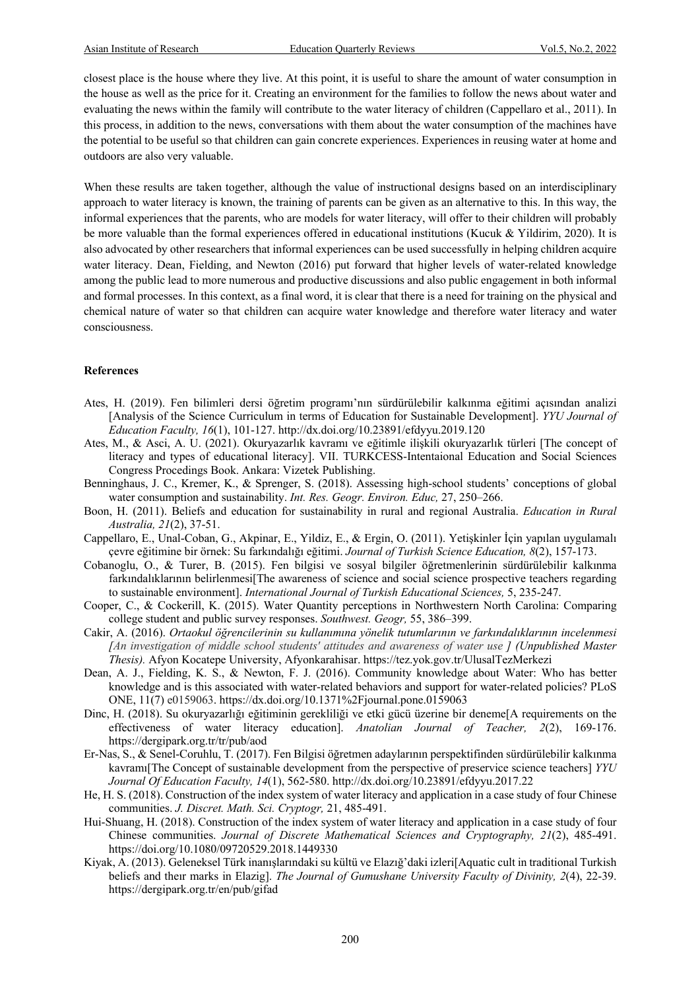closest place is the house where they live. At this point, it is useful to share the amount of water consumption in the house as well as the price for it. Creating an environment for the families to follow the news about water and evaluating the news within the family will contribute to the water literacy of children (Cappellaro et al., 2011). In this process, in addition to the news, conversations with them about the water consumption of the machines have the potential to be useful so that children can gain concrete experiences. Experiences in reusing water at home and outdoors are also very valuable.

When these results are taken together, although the value of instructional designs based on an interdisciplinary approach to water literacy is known, the training of parents can be given as an alternative to this. In this way, the informal experiences that the parents, who are models for water literacy, will offer to their children will probably be more valuable than the formal experiences offered in educational institutions (Kucuk & Yildirim, 2020). It is also advocated by other researchers that informal experiences can be used successfully in helping children acquire water literacy. Dean, Fielding, and Newton (2016) put forward that higher levels of water-related knowledge among the public lead to more numerous and productive discussions and also public engagement in both informal and formal processes. In this context, as a final word, it is clear that there is a need for training on the physical and chemical nature of water so that children can acquire water knowledge and therefore water literacy and water consciousness.

#### **References**

- Ates, H. (2019). Fen bilimleri dersi öğretim programı'nın sürdürülebilir kalkınma eğitimi açısından analizi [Analysis of the Science Curriculum in terms of Education for Sustainable Development]. *YYU Journal of Education Faculty, 16*(1), 101-127. http://dx.doi.org/10.23891/efdyyu.2019.120
- Ates, M., & Asci, A. U. (2021). Okuryazarlık kavramı ve eğitimle ilişkili okuryazarlık türleri [The concept of literacy and types of educational literacy]. VII. TURKCESS-Intentaional Education and Social Sciences Congress Procedings Book. Ankara: Vizetek Publishing.
- Benninghaus, J. C., Kremer, K., & Sprenger, S. (2018). Assessing high-school students' conceptions of global water consumption and sustainability. *Int. Res. Geogr. Environ. Educ,* 27, 250–266.
- Boon, H. (2011). Beliefs and education for sustainability in rural and regional Australia. *Education in Rural Australia, 21*(2), 37-51.
- Cappellaro, E., Unal-Coban, G., Akpinar, E., Yildiz, E., & Ergin, O. (2011). Yetişkinler İçin yapılan uygulamalı çevre eğitimine bir örnek: Su farkındalığı eğitimi. *Journal of Turkish Science Education, 8*(2), 157-173.
- Cobanoglu, O., & Turer, B. (2015). Fen bilgisi ve sosyal bilgiler öğretmenlerinin sürdürülebilir kalkınma farkındalıklarının belirlenmesi[The awareness of science and social science prospective teachers regarding to sustainable environment]. *International Journal of Turkish Educational Sciences,* 5, 235-247.
- Cooper, C., & Cockerill, K. (2015). Water Quantity perceptions in Northwestern North Carolina: Comparing college student and public survey responses. *Southwest. Geogr,* 55, 386–399.
- Cakir, A. (2016). *Ortaokul öğrencilerinin su kullanımına yönelik tutumlarının ve farkındalıklarının incelenmesi [An investigation of middle school students' attitudes and awareness of water use ] (Unpublished Master Thesis).* Afyon Kocatepe University, Afyonkarahisar. https://tez.yok.gov.tr/UlusalTezMerkezi
- Dean, A. J., Fielding, K. S., & Newton, F. J. (2016). Community knowledge about Water: Who has better knowledge and is this associated with water-related behaviors and support for water-related policies? PLoS ONE, 11(7) e0159063. https://dx.doi.org/10.1371%2Fjournal.pone.0159063
- Dinc, H. (2018). Su okuryazarlığı eğitiminin gerekliliği ve etki gücü üzerine bir deneme[A requirements on the effectiveness of water literacy education]. *Anatolian Journal of Teacher, 2*(2), 169-176. https://dergipark.org.tr/tr/pub/aod
- Er-Nas, S., & Senel-Coruhlu, T. (2017). Fen Bilgisi öğretmen adaylarının perspektifinden sürdürülebilir kalkınma kavramı[The Concept of sustainable development from the perspective of preservice science teachers] *YYU Journal Of Education Faculty, 14*(1), 562-580. http://dx.doi.org/10.23891/efdyyu.2017.22
- He, H. S. (2018). Construction of the index system of water literacy and application in a case study of four Chinese communities. *J. Discret. Math. Sci. Cryptogr,* 21, 485-491.
- Hui-Shuang, H. (2018). Construction of the index system of water literacy and application in a case study of four Chinese communities. *Journal of Discrete Mathematical Sciences and Cryptography, 21*(2), 485-491. https://doi.org/10.1080/09720529.2018.1449330
- Kiyak, A. (2013). Geleneksel Türk inanışlarındaki su kültü ve Elazığ'daki izleri[Aquatic cult in traditional Turkish beliefs and theır marks in Elazig]. *The Journal of Gumushane University Faculty of Divinity, 2*(4), 22-39. https://dergipark.org.tr/en/pub/gifad